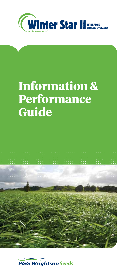

# **Information & Performance Guide**



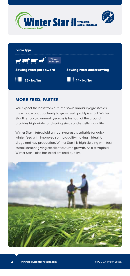





### MORE FEED, FASTER

You expect the best from autumn sown annual ryegrasses as the window of opportunity to grow feed quickly is short. Winter Star II tetraploid annual ryegrass is fast out of the ground, provides high winter and spring yields and excellent quality.

Winter Star II tetraploid annual ryegrass is suitable for quick winter feed with improved spring quality making it ideal for silage and hay production. Winter Star II is high yielding with fast establishment giving excellent autumn growth. As a tetraploid, Winter Star II also has excellent feed quality.

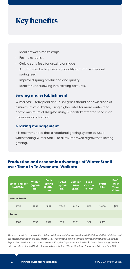# **Key benefits**

- Ideal between maize crops
- Fast to establish
- Quick, early feed for grazing or silage
- Autumn sow for high yields of quality autumn, winter and spring feed
- Improved spring production and quality
- Ideal for undersowing into existing pastures.

#### Sowing and establishment

Winter Star II tetraploid annual ryegrass should be sown alone at a minimum of 25 kg/ha, using higher rates for more winter feed, or at a minimum of 14 kg/ha using Superstrike® treated seed in an undersowing situation.

#### Grazing management

It is recommended that a rotational grazing system be used when feeding Winter Star II, to allow improved regrowth following grazing.

### Production and economic advantage of Winter Star II over Tama in Te Awamutu, Waikato

| <b>Establishment</b><br>(kqDM/ha) | <b>Winter</b><br>(kgDM)<br>ha) | <b>Early</b><br><b>Spring</b><br>(kqDM)<br>ha) | <b>TOTAL</b><br>(kqDM)<br>ha) | <b>Cultivar</b><br><b>Price</b><br>(S/kg) | <b>Seed</b><br>Cost/ha<br>(5/ha) | <b>Profit</b><br>(5/ha) | <b>Profit</b><br>Over<br><b>Tama</b><br>(5/ha) |
|-----------------------------------|--------------------------------|------------------------------------------------|-------------------------------|-------------------------------------------|----------------------------------|-------------------------|------------------------------------------------|
| <b>Winter Star II</b>             |                                |                                                |                               |                                           |                                  |                         |                                                |
| 1539                              | 2957                           | 3152                                           | 7648                          | \$4.59                                    | \$138                            | \$1468                  | \$131                                          |
| <b>Tama</b>                       |                                |                                                |                               |                                           |                                  |                         |                                                |
| 1382                              | 2397                           | 2972                                           | 6751                          | \$2.71                                    | \$81                             | \$1337                  |                                                |

*The above table is a combination of three winter feed trials sown in autumn 2011, 2012 and 2014. Establishment dry matter production includes March-May, winter includes June, July and early spring includes August and September. Seed was sown bare at a rate of 30 kg/ha. Dry matter is valued at \$0.21/kgDM standing. Cultivar prices are the estimated North Island retail price for bare Winter Star II and Tama seed. Prices exclude GST.*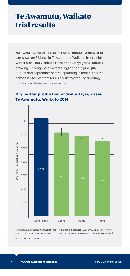### **Te Awamutu, Waikato trial results**

Following the harvesting of maize, an annual ryegrass trial was sown on 7 March in Te Awamutu, Waikato. In this trial, Winter Star II out yielded all other annual ryegrass varieties growing 6,322 kgDM/ha over four grazings in June, July, August and September before replanting in maize. This trial demonstrated Winter Star II's ability to produce amazing quality feed between maize crops.



### Dry matter production of annual ryegrasses Te Awamutu, Waikato 2014

*Statistical significance indicated by least significant difference (LSD) error bars. Differences are significant where error bars do not cross over between varieties (LSD 5% = 540 kgDM/ha). \* Moata = Italian ryegrass.*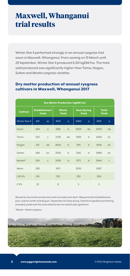## **Maxwell, Whanganui trial results**

Winter Star II performed strongly in an annual ryegrass trial sown in Maxwell, Whanganui. From sowing on 31 March until 29 September, Winter Star II produced 6,921 kgDM/ha. The total yield produced was significantly higher than Tama, Hogan, Sultan and Moata ryegrass varieties.

#### Dry matter production of annual ryegrass cultivars in Maxwell, Whanganui 2017

| <b>Dry Matter Production (kgDM/ha)</b> |                               |              |                        |              |                              |              |                       |              |
|----------------------------------------|-------------------------------|--------------|------------------------|--------------|------------------------------|--------------|-----------------------|--------------|
| <b>Cultivar</b>                        | <b>Establishment</b><br>Yield |              | <b>Winter</b><br>Yield |              | <b>Early Spring</b><br>Yield |              | <b>Total</b><br>Yield |              |
| <b>Winter Star II</b>                  | 401                           | $\alpha$ c   | 3041                   | a            | 3460                         | a            | 6921                  | $\alpha$     |
| Zoom                                   | 484                           | $\alpha$     | 2681                   | $\mathsf{b}$ | 3300                         | ab           | 6470                  | ab           |
| Tama                                   | 323                           | $\mathsf{C}$ | 2728                   | ab           | 3189                         | $\mathsf b$  | 6250                  | bc           |
| Hogan                                  | 431                           | ab           | 2604                   | $\mathsf{b}$ | 3115                         | $\mathsf{b}$ | 6148                  | bc           |
| Sultan                                 | 346                           | bc           | 2530                   | $\mathsf{b}$ | 3142                         | $\mathsf b$  | 5989                  | bc           |
| Moata*                                 | 324                           | $\mathsf{C}$ | 2439                   | $\mathsf{b}$ | 3172                         | $\mathsf{b}$ | 5944                  | $\mathsf{C}$ |
| Mean                                   | 385                           |              | 2671                   |              | 3230                         |              | 6287                  |              |
| <b>LSD 5%</b>                          | 105                           |              | 332                    |              | 230                          |              | 500                   |              |
| CV%                                    | 23                            |              | 8                      |              | 5                            |              | 5                     |              |

*Results for dry matter production were recorded over April / May period for Establishment, June / July for winter and August / September for Early spring. Statistical significance lettering provided, yields with the same letter(s) are not statistically significant.*

*\* Moata = Italian ryegrass*

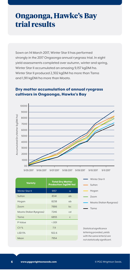### **Ongaonga, Hawke's Bay trial results**

Sown on 14 March 2017, Winter Star II has performed strongly in the 2017 Ongaonga annual ryegrass trial. In eight yield assessments completed over autumn, winter and spring, Winter Star II accumulated an amazing 9,157 kgDM/ha. Winter Star II produced 2,302 kgDM/ha more than Tama and 1,911 kgDM/ha more than Moata.



#### Dry matter accumulation of annual ryegrass cultivars in Ongaonga, Hawke's Bay

|                          | <b>Total Dry Matter</b><br><b>Production (kgDM/ha)</b> |              | Winter Star II                                                |  |  |
|--------------------------|--------------------------------------------------------|--------------|---------------------------------------------------------------|--|--|
| <b>Variety</b>           |                                                        |              | Sultan                                                        |  |  |
| Winter Star II           | 9157                                                   | a            | Hogan                                                         |  |  |
| Sultan                   | 8341                                                   | ab           | Zoom                                                          |  |  |
| Hogan                    | 8238                                                   | ab           | Moata (Italian Ryegrass)                                      |  |  |
| Zoom                     | 7886                                                   | bc           | Tama                                                          |  |  |
| Moata (Italian Ryegrass) | 7246                                                   | cd           |                                                               |  |  |
| Tama                     | 6855                                                   | $\mathsf{C}$ |                                                               |  |  |
| P-Value                  | < 0.01                                                 |              |                                                               |  |  |
| CV%                      | 7.9                                                    |              | Statistical significance                                      |  |  |
| <b>LSD 5%</b>            | 922.6                                                  |              | lettering provided, yields                                    |  |  |
| Mean                     | 7954                                                   |              | with the same letter(s) are<br>not statistically significant. |  |  |
|                          |                                                        |              |                                                               |  |  |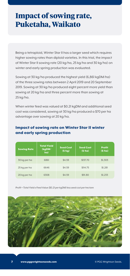## **Impact of sowing rate, Puketaha, Waikato**

Being a tetraploid, Winter Star II has a larger seed which requires higher sowing rates than diploid varieties. In this trial, the impact of Winter Star II sowing rate (20 kg/ha, 25 kg/ha and 30 kg/ha) on winter and early spring production was evaluated.

Sowing at 30 kg/ha produced the highest yield (6,861 kgDM/ha) of the three sowing rates between 2 April 2019 and 20 September 2019. Sowing at 30 kg/ha produced eight percent more yield than sowing at 20 kg/ha and three percent more than sowing at 25 kg/ha.

When winter feed was valued at \$0.21 kgDM and additional seed cost was considered, sowing at 30 kg/ha produced a \$70 per ha advantage over sowing at 20 kg/ha.

| <b>Sowing Rate</b> | <b>Total Yield</b><br>(kqDM)<br>ha) | <b>Seed Cost</b><br>(5/kg) | <b>Seed Cost</b><br>(5/ha) | <b>Profit</b><br>(5/ha) |
|--------------------|-------------------------------------|----------------------------|----------------------------|-------------------------|
| 30 kg per ha       | 6861                                | \$4.59                     | \$137.70                   | \$1,303                 |
| 25 kg per ha       | 6646                                | \$4.59                     | \$114.75                   | \$1,281                 |
| 20 kg per ha       | 6308                                | \$4.59                     | \$91.80                    | \$1,233                 |

#### Impact of sowing rate on Winter Star II winter and early spring production

*Profit = Total Yield x Feed Value (\$0.21 per kgDM) less seed cost per hectare*